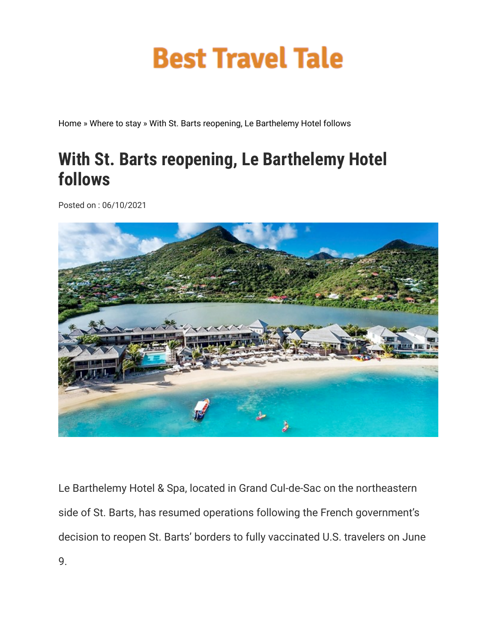## **Best Travel Tale**

Home » Where to stay » With St. Barts reopening, Le Barthelemy Hotel follows

## **With St. Barts reopening, Le Barthelemy Hotel follows**

Posted on : 06/10/2021



Le Barthelemy Hotel & Spa, located in Grand Cul-de-Sac on the northeastern side of St. Barts, has resumed operations following the French government's decision to reopen St. Barts' borders to fully vaccinated U.S. travelers on June 9.